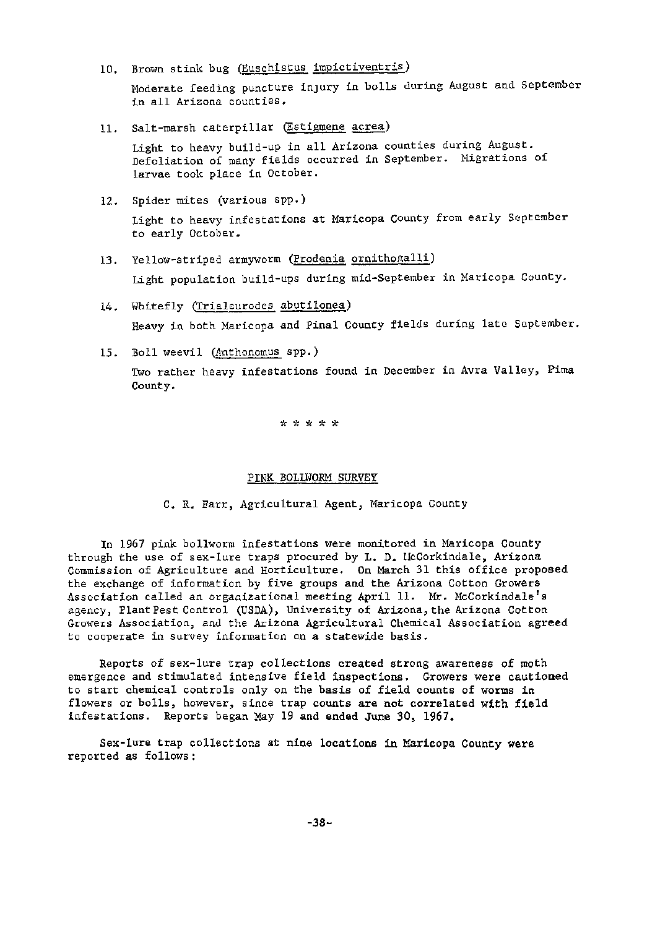10. Brown stink bug (Euschistus impictiventris)

Moderate feeding puncture injury in bolls during August and September in all Arizona counties.

 $11.$  Salt-marsh caterpillar (Estigmene acrea)

Light to heavy build-up in all Arizona counties during August. Defoliation of many fields occurred in September. Higrations of larvae took place in October.

12. Spider mites (various spp.)

Light to heavy infestations at Maricopa county from early September to early October.

- 13. Yellow-striped armyworm (Prodenia ornithogalli) Light population build-ups during mid-September in Maricopa County.
- 14. Whitefly (Trialeurodes abutilonea) Heavy in both Maricopa and Pinal County fields during late September.
- 15. Boll weevil (Anthonomus spp.)

Two rather heavy infestations found in December in Avra Valley, Pima County.

\*~~\*\*\*

### PINK BOLLWORM SURVEY

C. R. Farr, Agricultural Agent, Maricopa County

In 1967 pink bollworm infestations were monitored in Maricopa County through the use of sex-lure traps procured by L. D. UcCorkindale, Arizona Commission of Agriculture and Horticulture. On March 31 this office proposed the exchange of information by five groups and the Arizona Cotton Growers Association called an organizational meeting April 11. Mr. McCorkindale's agency, Plant Pest Control (USDA), University of Arizona, the Arizona Cotton Growers Association, and the Arizona Agricultural Chemical Association agreed to cooperate in survey information on a statewide basis.

Reports of sex-lure trap collections created strong awareness of moth emergence and stimulated intensive field inspections. Growers were cautioned to start chemical controls only on the basis of field counts of worms in flowers or bolls, however, since trap counts are not correlated with field infestations. Reports began May 19 and ended June 30, 1967.

Sex-lure trap collections at nine locations in Maricopa County were reported as follows: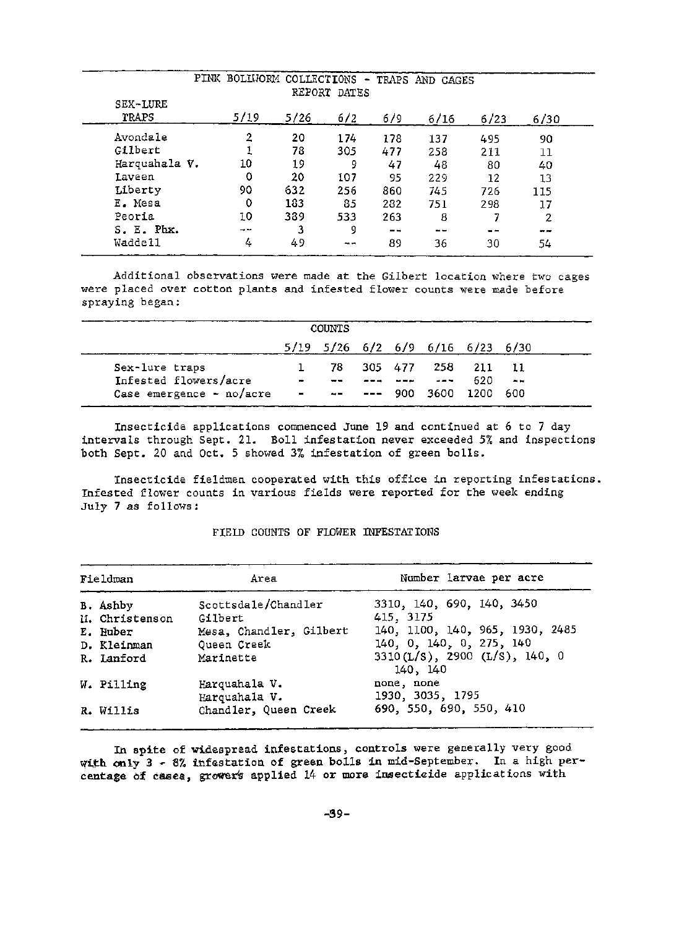| PINK BOLLWORM COLLECTIONS - TRAPS AND CAGES<br>REPORT DATES |                             |      |     |     |      |      |      |  |  |  |
|-------------------------------------------------------------|-----------------------------|------|-----|-----|------|------|------|--|--|--|
| SEX-LURE<br>TRAPS                                           | 5/19                        | 5/26 | 6/2 | 6/9 | 6/16 | 6/23 | 6/30 |  |  |  |
| Avondale                                                    | 2                           | 20   | 174 | 178 | 137  | 495  | 90   |  |  |  |
| Gilbert                                                     |                             | 78   | 305 | 477 | 258  | 211  | 11   |  |  |  |
| Harquahala V.                                               | 10                          | 19   | 9   | 47  | 48   | 80   | 40   |  |  |  |
| Laveen                                                      | 0                           | 20   | 107 | 95  | 229  | 12   | 13   |  |  |  |
| Liberty                                                     | 90                          | 632  | 256 | 860 | 745  | 726  | 115  |  |  |  |
| E. Mesa                                                     | 0                           | 183  | 85  | 282 | 751  | 298  | 17   |  |  |  |
| Peoria                                                      | 10                          | 389  | 533 | 263 | 8    |      | 2    |  |  |  |
| S. E. Phx.                                                  | $\rightarrow$ $\rightarrow$ | 3    | 9   | --  | --   | - -  | --   |  |  |  |
| Waddell                                                     | 4                           | 49   | - - | 89  | 36   | 30   | 54   |  |  |  |

## Additional observations were made at the Gilbert location where two cages were placed over cotton plants and infested flower counts were made before spraying began:

| <b>COUNTS</b>            |        |                 |         |      |                                                |        |                 |  |  |  |
|--------------------------|--------|-----------------|---------|------|------------------------------------------------|--------|-----------------|--|--|--|
|                          |        |                 |         |      | $5/19$ $5/26$ $6/2$ $6/9$ $6/16$ $6/23$ $6/30$ |        |                 |  |  |  |
| Sex-lure traps           |        | 78              |         |      | 305 477 258                                    | 211    |                 |  |  |  |
| Infested flowers/acre    | $\sim$ | $- -$           |         |      | and the second                                 | 620    | <b>Contract</b> |  |  |  |
| Case emergence - no/acre |        | $\rightarrow -$ | $- - -$ | 900. | - 3600                                         | - 1200 | -600            |  |  |  |

Insecticide applications commenced June 19 and continued at 6 to 7 day intervals through Sept. 21. Boll infestation never exceeded 5% and inspections both Sept. 20 and Oct. 5 showed 3% infestation of green bolls.

Insecticide fieldmen cooperated with this office in reporting infestations. Infested flower counts in various fields were reported for the week ending July 7 as follows:

# Fieldman Mumber larvae per acre B. Ashby Scottsdale/Chandler 3310, 140, 690, 140, 3450<br>II. Christenson Gilbert 415, 3175 ll. Christenson Gilbert<br>E. Huber 1952, Chandler, Gilbert 140, 1100, 140, 965, 1930, 2485 D. Kleinman Queen Creek 140, 0, 140, 0, 275, 140<br>R. Lanford Marinette 3310(L/S), 2900 (L/S), 14 R. Lanford Marinette 3310(L/S), 2900 (L/S), 140, 0 140, 140 W. Pilling Harquahala V. none, none 1930, 3035, 1795 R. Willis Chandler, Queen Creek 690, 550, 690, 550, 410

#### FIELD COUNTS OF FLOWER INFESTATIONS

In spite of widespread infestations, controls were generally very good w'th only 3 • 8% infestation of green bolls in mid-September. In a high percentage of cases, growers applied 14 or more insecticide applications with